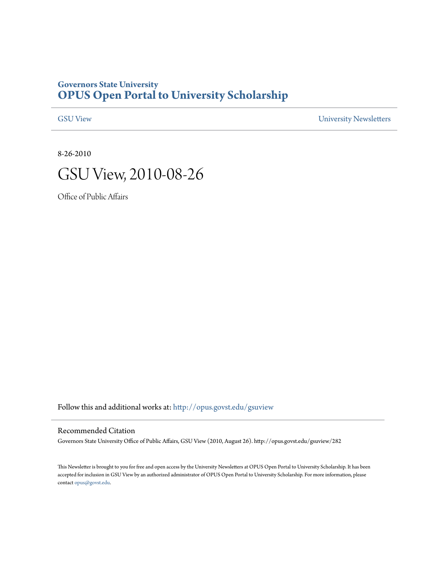# **Governors State University [OPUS Open Portal to University Scholarship](http://opus.govst.edu?utm_source=opus.govst.edu%2Fgsuview%2F282&utm_medium=PDF&utm_campaign=PDFCoverPages)**

[GSU View](http://opus.govst.edu/gsuview?utm_source=opus.govst.edu%2Fgsuview%2F282&utm_medium=PDF&utm_campaign=PDFCoverPages) [University Newsletters](http://opus.govst.edu/newsletters?utm_source=opus.govst.edu%2Fgsuview%2F282&utm_medium=PDF&utm_campaign=PDFCoverPages)

8-26-2010



Office of Public Affairs

Follow this and additional works at: [http://opus.govst.edu/gsuview](http://opus.govst.edu/gsuview?utm_source=opus.govst.edu%2Fgsuview%2F282&utm_medium=PDF&utm_campaign=PDFCoverPages)

#### Recommended Citation

Governors State University Office of Public Affairs, GSU View (2010, August 26). http://opus.govst.edu/gsuview/282

This Newsletter is brought to you for free and open access by the University Newsletters at OPUS Open Portal to University Scholarship. It has been accepted for inclusion in GSU View by an authorized administrator of OPUS Open Portal to University Scholarship. For more information, please contact [opus@govst.edu](mailto:opus@govst.edu).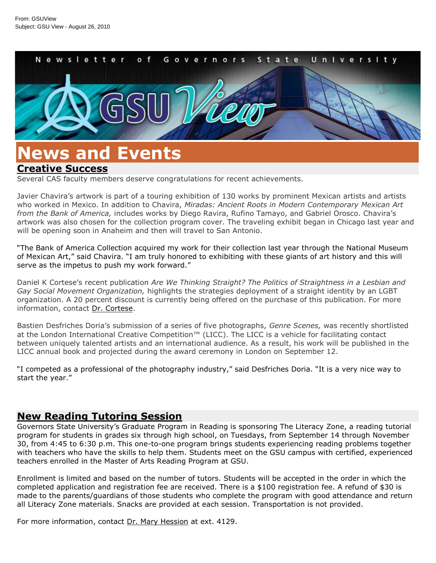

# **News and Events**

### **[Creative Success](/default.aspx?id=38703&blogid=734)**

Several CAS faculty members deserve congratulations for recent achievements.

Javier Chavira's artwork is part of a touring exhibition of 130 works by prominent Mexican artists and artists who worked in Mexico. In addition to Chavira, *Miradas: Ancient Roots in Modern Contemporary Mexican Art from the Bank of America,* includes works by Diego Ravira, Rufino Tamayo, and Gabriel Orosco. Chavira's artwork was also chosen for the collection program cover. The traveling exhibit began in Chicago last year and will be opening soon in Anaheim and then will travel to San Antonio.

"The Bank of America Collection acquired my work for their collection last year through the National Museum of Mexican Art," said Chavira. "I am truly honored to exhibiting with these giants of art history and this will serve as the impetus to push my work forward."

Daniel K Cortese's recent publication *Are We Thinking Straight? The Politics of Straightness in a Lesbian and Gay Social Movement Organization,* highlights the strategies deployment of a straight identity by an LGBT organization. A 20 percent discount is currently being offered on the purchase of this publication. For more information, contact [Dr. Cortese.](mailto:d-cortese@govst.edu)

Bastien Desfriches Doria's submission of a series of five photographs, *Genre Scenes,* was recently shortlisted at the London International Creative Competition™ (LICC). The LICC is a vehicle for facilitating contact between uniquely talented artists and an international audience. As a result, his work will be published in the LICC annual book and projected during the award ceremony in London on September 12.

"I competed as a professional of the photography industry," said Desfriches Doria. "It is a very nice way to start the year."

# **[New Reading Tutoring Session](/default.aspx?id=38702&blogid=734)**

Governors State University's Graduate Program in Reading is sponsoring The Literacy Zone, a reading tutorial program for students in grades six through high school, on Tuesdays, from September 14 through November 30, from 4:45 to 6:30 p.m. This one-to-one program brings students experiencing reading problems together with teachers who have the skills to help them. Students meet on the GSU campus with certified, experienced teachers enrolled in the Master of Arts Reading Program at GSU.

Enrollment is limited and based on the number of tutors. Students will be accepted in the order in which the completed application and registration fee are received. There is a \$100 registration fee. A refund of \$30 is made to the parents/guardians of those students who complete the program with good attendance and return all Literacy Zone materials. Snacks are provided at each session. Transportation is not provided.

For more information, contact [Dr. Mary Hession](mailto:m-hession@govst.edu) at ext. 4129.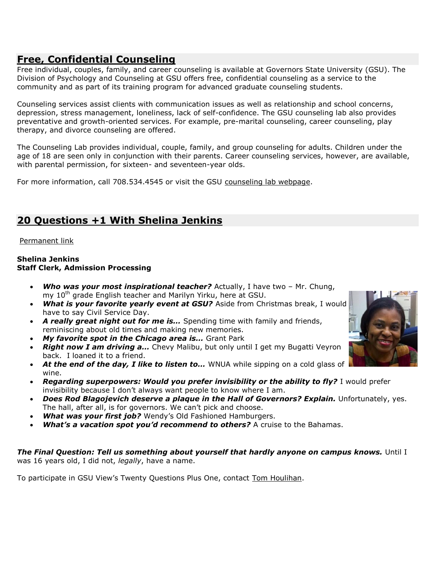# **[Free, Confidential Counseling](/default.aspx?id=38701&blogid=734)**

Free individual, couples, family, and career counseling is available at Governors State University (GSU). The Division of Psychology and Counseling at GSU offers free, confidential counseling as a service to the community and as part of its training program for advanced graduate counseling students.

Counseling services assist clients with communication issues as well as relationship and school concerns, depression, stress management, loneliness, lack of self-confidence. The GSU counseling lab also provides preventative and growth-oriented services. For example, pre-marital counseling, career counseling, play therapy, and divorce counseling are offered.

The Counseling Lab provides individual, couple, family, and group counseling for adults. Children under the age of 18 are seen only in conjunction with their parents. Career counseling services, however, are available, with parental permission, for sixteen- and seventeen-year olds.

For more information, call 708.534.4545 or visit the GSU [counseling lab webpage.](/counselinglab)

# **[20 Questions +1 With Shelina Jenkins](/default.aspx?id=38699&blogid=734)**

### [Permanent link](/default.aspx?id=38699&blogid=734)

#### **Shelina Jenkins Staff Clerk, Admission Processing**

- *Who was your most inspirational teacher?* Actually, I have two Mr. Chung, my 10<sup>th</sup> grade English teacher and Marilyn Yirku, here at GSU.
- *What is your favorite yearly event at GSU?* Aside from Christmas break, I would have to say Civil Service Day.
- *A really great night out for me is…* Spending time with family and friends, reminiscing about old times and making new memories.
- *My favorite spot in the Chicago area is…* Grant Park
- *Right now I am driving a…* Chevy Malibu, but only until I get my Bugatti Veyron back. I loaned it to a friend.
- *At the end of the day, I like to listen to…* WNUA while sipping on a cold glass of wine.
- **Regarding superpowers: Would you prefer invisibility or the ability to fly?** I would prefer invisibility because I don't always want people to know where I am.
- *Does Rod Blagojevich deserve a plaque in the Hall of Governors? Explain.* Unfortunately, yes. The hall, after all, is for governors. We can't pick and choose.
- *What was your first job?* Wendy's Old Fashioned Hamburgers.
- *What's a vacation spot you'd recommend to others?* **A cruise to the Bahamas.**

### *The Final Question: Tell us something about yourself that hardly anyone on campus knows.* Until I was 16 years old, I did not, *legally*, have a name.

To participate in GSU View's Twenty Questions Plus One, contact [Tom Houlihan.](mailto:t-houlihan@govst.edu)